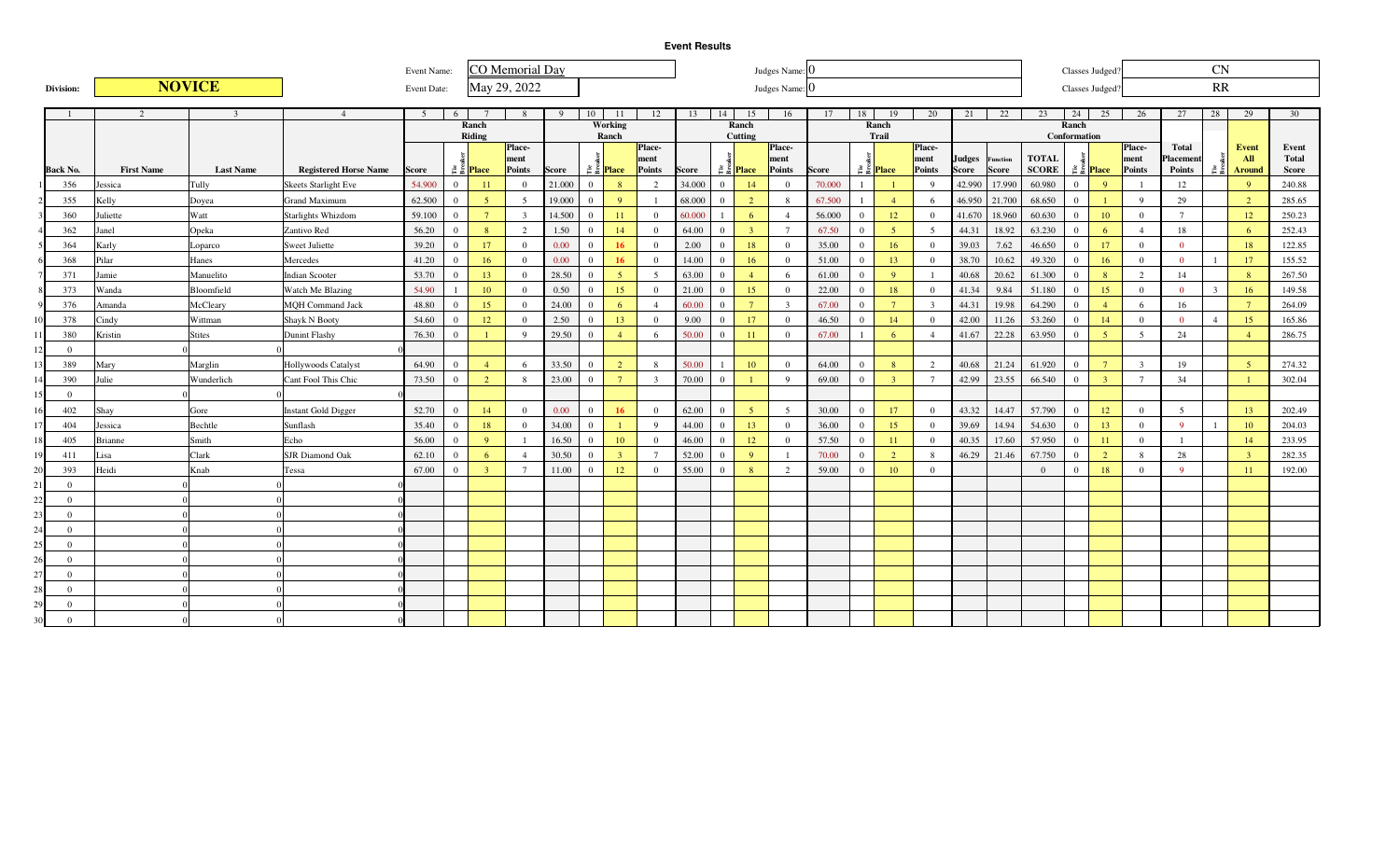|                 |                |                   |                  |                              | Event Name: |                |                               | CO Memorial Day         |              |                |                               |                         |        |                |                               | Judges Name: 0  |        |                |                               |                 |               |                 |              |              | Classes Judged                |                 |                 | CN             |                 |              |
|-----------------|----------------|-------------------|------------------|------------------------------|-------------|----------------|-------------------------------|-------------------------|--------------|----------------|-------------------------------|-------------------------|--------|----------------|-------------------------------|-----------------|--------|----------------|-------------------------------|-----------------|---------------|-----------------|--------------|--------------|-------------------------------|-----------------|-----------------|----------------|-----------------|--------------|
| Division:       |                |                   | <b>NOVICE</b>    |                              | Event Date: |                |                               | May 29, 2022            |              |                |                               |                         |        |                |                               | Judges Name: 0  |        |                |                               |                 |               |                 |              |              | Classes Judged                |                 |                 | RR             |                 |              |
|                 |                | $\mathcal{L}$     | $\mathcal{R}$    | $\overline{4}$               | 5           | 6              |                               | $\mathbf{8}$            | $\mathbf{Q}$ | $10-1$         | -11                           | 12                      | 13     | 14             | 15                            | 16              | 17     | 18             | 19                            | 20              | 21            | 22              | 23           | 24           | 25                            | 26              | 27              | 28             | 29              | 30           |
|                 |                |                   |                  |                              |             |                | Ranch                         |                         |              |                | Working                       |                         |        |                | Ranch                         |                 |        |                | Ranch                         |                 |               |                 |              | Ranch        |                               |                 |                 |                |                 |              |
|                 |                |                   |                  |                              |             |                | Riding                        | Place-                  |              |                | Ranch                         | Place-                  |        |                | Cutting                       | Place-          |        |                | Trail                         | <b>Place</b>    |               |                 |              | Conformation |                               | Place-          | <b>Total</b>    |                | <b>Event</b>    | Event        |
|                 |                |                   |                  |                              |             |                |                               | ment                    |              |                |                               | ment                    |        |                |                               | ment            |        |                |                               | ment            | <b>Judges</b> | <b>Function</b> | <b>TOTAL</b> |              |                               | ment            | Placement       |                | A <sub>II</sub> | <b>Total</b> |
| <b>Back No.</b> |                | <b>First Name</b> | <b>Last Name</b> | <b>Registered Horse Name</b> | Score       |                | $\approx$ $\frac{1}{6}$ Place | <b>Points</b>           | <b>Score</b> |                | $\approx$ $\frac{8}{5}$ Place | <b>Points</b>           | Score  |                | $\approx$ $\frac{8}{5}$ Place | <b>Points</b>   | Score  |                | $\approx$ $\frac{1}{6}$ Place | <b>Points</b>   | Score         | <b>Score</b>    | <b>SCORE</b> |              | $\approx$ $\frac{8}{5}$ Place | <b>Points</b>   | <b>Points</b>   | ã.             | Around          | <b>Score</b> |
|                 | 356            | Jessica           | Tully            | <b>Skeets Starlight Eve</b>  | 54.900      | $\Omega$       | $\overline{11}$               | $\overline{0}$          | 21.000       | $\overline{0}$ | 8                             | 2                       | 34.000 | $\overline{0}$ | 14                            | $\overline{0}$  | 70,000 |                |                               | $\overline{9}$  | 42.990        | 17.990          | 60.980       | $\Omega$     | $\overline{9}$                | $\overline{1}$  | 12              |                | $\overline{Q}$  | 240.88       |
|                 | 355            | Kelly             | Doyea            | <b>Grand Maximum</b>         | 62.500      | $\Omega$       | $\sqrt{5}$                    | -5                      | 19.000       | $\Omega$       | $\overline{9}$                | $\mathbf{1}$            | 68,000 | $\overline{0}$ | $\overline{2}$                | -8              | 67.500 |                | $\overline{4}$                | 6               |               | 46.950 21.700   | 68.650       | $\Omega$     | $\overline{1}$                | $\overline{Q}$  | 29              |                | <sup>2</sup>    | 285.65       |
|                 | 360            | Juliette          | Watt             | <b>Starlights Whizdom</b>    | 59.100      | $\overline{0}$ | $7\phantom{.0}$               | $\overline{\mathbf{3}}$ | 14.500       | $\overline{0}$ | 11                            | $\overline{0}$          | 60.000 |                | 6                             | $\overline{4}$  | 56.000 | $\overline{0}$ | 12                            | $\overline{0}$  | 41.670        | 18.960          | 60.630       | $\Omega$     | 10                            | $\overline{0}$  | $7\phantom{.0}$ |                | 12              | 250.23       |
|                 | 362            | Janel             | Opeka            | Zantivo Red                  | 56.20       | $\Omega$       | 8                             | $\overline{2}$          | 1.50         | $\bf{0}$       | 14                            | $\overline{0}$          | 64.00  | $\overline{0}$ | $\mathbf{3}$                  | $7\phantom{.0}$ | 67.50  | $\theta$       | 5 <sup>1</sup>                | $5\overline{)}$ | 44.31         | 18.92           | 63.230       | $\Omega$     | 6                             | $\overline{4}$  | 18              |                | -6              | 252.43       |
|                 | 364            | Karly             | Loparco          | Sweet Juliette               | 39.20       | $\Omega$       | 17                            | $\overline{0}$          | 0.00         | $\overline{0}$ | 16                            | $\overline{0}$          | 2.00   | $\overline{0}$ | 18                            | $\overline{0}$  | 35.00  | $\overline{0}$ | 16                            | $\overline{0}$  | 39.03         | 7.62            | 46.650       | $\Omega$     | 17                            | $\mathbf{0}$    | $\mathbf{0}$    |                | 18              | 122.85       |
|                 | 368            | Pilar             | Hanes            | Mercedes                     | 41.20       | $\Omega$       | 16                            | $\Omega$                | 0.00         | $\overline{0}$ | 16                            | $\overline{0}$          | 14.00  | $\overline{0}$ | 16                            | $\overline{0}$  | 51.00  | $\Omega$       | 13                            | $\overline{0}$  | 38.70         | 10.62           | 49.320       | $\Omega$     | 16                            | $\overline{0}$  | $\overline{0}$  | $\overline{1}$ | 17              | 155.52       |
|                 | 371            | Jamie             | Manuelito        | <b>Indian Scooter</b>        | 53.70       | $\Omega$       | 13                            | $\Omega$                | 28.50        | $\overline{0}$ | 5 <sup>°</sup>                | $\sqrt{5}$              | 63.00  | $\overline{0}$ | $\overline{4}$                | 6               | 61.00  | $\Omega$       | Q                             | $\overline{1}$  | 40.68         | 20.62           | 61.300       | $\Omega$     | 8                             | 2               | 14              |                | 8 <sup>°</sup>  | 267.50       |
|                 | 373            | Wanda             | Bloomfield       | Watch Me Blazing             | 54.90       |                | 10                            | $\Omega$                | 0.50         | $\overline{0}$ | 15                            | $\mathbf{0}$            | 21.00  | $\overline{0}$ | 15                            | $\overline{0}$  | 22.00  | $\Omega$       | 18                            | $\overline{0}$  | 41.34         | 9.84            | 51.180       | $\Omega$     | 15                            | $\overline{0}$  | $\mathbf{0}$    | $\overline{3}$ | 16              | 149.58       |
|                 | 376            | Amanda            | McCleary         | <b>MOH Command Jack</b>      | 48.80       | $\Omega$       | 15                            | $\overline{0}$          | 24.00        | $\Omega$       | 6                             | $\overline{4}$          | 60.00  | $\overline{0}$ | $7\overline{ }$               | $\mathcal{R}$   | 67.00  | $\Omega$       | $7^{\circ}$                   | $\mathbf{3}$    | 44.31         | 19.98           | 64.290       | $\Omega$     | $\overline{4}$                | -6              | 16              |                | $7\overline{ }$ | 264.09       |
|                 | 378            | Cindy             | Wittman          | Shayk N Booty                | 54.60       | $\Omega$       | 12                            | $\overline{0}$          | 2.50         | $\Omega$       | 13                            | $\Omega$                | 9.00   | $\overline{0}$ | 17                            | $\Omega$        | 46.50  | $\Omega$       | 14                            | $\Omega$        | 42.00         | 11.26           | 53.260       | $\Omega$     | 14                            | $\overline{0}$  | $\Omega$        | $\overline{4}$ | 15              | 165.86       |
| 11              | 380            | Kristin           | <b>Stites</b>    | Dunint Flashy                | 76.30       | $\Omega$       |                               | $\overline{Q}$          | 29.50        | $\Omega$       | $\overline{4}$                | -6                      | 50.00  | $\overline{0}$ | 11                            | $\Omega$        | 67.00  |                | 6                             | $\overline{4}$  | 41.67         | 22.28           | 63.950       | $\Omega$     | $\sqrt{5}$                    | 5               | 24              |                | $\overline{4}$  | 286.75       |
| 12              | $\theta$       |                   |                  |                              |             |                |                               |                         |              |                |                               |                         |        |                |                               |                 |        |                |                               |                 |               |                 |              |              |                               |                 |                 |                |                 |              |
| 13              | 389            | Mary              | Marglin          | <b>Hollywoods Catalyst</b>   | 64.90       | $\Omega$       | $\overline{4}$                | - 6                     | 33.50        | $\Omega$       | 2                             | 8                       | 50.00  |                | 10                            | $\overline{0}$  | 64.00  | $\overline{0}$ | 8                             | 2               | 40.68         | 21.24           | 61.920       | $\Omega$     | $7^{\circ}$                   | $\overline{3}$  | 19              |                | -5              | 274.32       |
| 14              | 390            | Julie             | Wunderlich       | Cant Fool This Chic          | 73.50       | $\overline{0}$ | $\overline{2}$                | - 8                     | 23.00        | $\theta$       | 7                             | $\overline{\mathbf{3}}$ | 70.00  | $\mathbf{0}$   |                               | $\mathbf Q$     | 69.00  | $\overline{0}$ | $\overline{3}$                | $7\overline{ }$ | 42.99         | 23.55           | 66.540       | $\Omega$     | $\overline{3}$                | $7\phantom{.0}$ | 34              |                | $\blacksquare$  | 302.04       |
| 15              | $\overline{0}$ |                   |                  |                              |             |                |                               |                         |              |                |                               |                         |        |                |                               |                 |        |                |                               |                 |               |                 |              |              |                               |                 |                 |                |                 |              |
| 16              | 402            | Shay              | Gore             | <b>Instant Gold Digger</b>   | 52.70       | $\Omega$       | 14                            | $\overline{0}$          | 0.00         | $\theta$       | 16                            | $\mathbf{0}$            | 62.00  | $\overline{0}$ | $\overline{5}$                | 5               | 30.00  | $\overline{0}$ | 17                            | $\overline{0}$  | 43.32         | 14.47           | 57.790       | $\Omega$     | 12                            | $\overline{0}$  | $\overline{5}$  |                | 13              | 202.49       |
| 17              | 404            | Jessica           | Bechtle          | Sunflash                     | 35.40       | $\overline{0}$ | 18                            | $\Omega$                | 34.00        | $\Omega$       | $\blacksquare$                | $\overline{9}$          | 44.00  | $\overline{0}$ | 13                            | $\Omega$        | 36.00  | $\overline{0}$ | 15                            | $\overline{0}$  | 39.69         | 14.94           | 54.630       | $\Omega$     | 13                            | $\overline{0}$  | $\overline{Q}$  | $\overline{1}$ | <sup>10</sup>   | 204.03       |
| 18              | 405            | <b>Brianne</b>    | Smith            | Echo                         | 56.00       | $\overline{0}$ | $\mathbf{Q}$                  |                         | 16.50        | $\overline{0}$ | 10                            | $\overline{0}$          | 46.00  | $\overline{0}$ | 12                            | $\Omega$        | 57.50  | $\overline{0}$ | 11                            | $\Omega$        | 40.35         | 17.60           | 57.950       | $\Omega$     | 11                            | $\overline{0}$  |                 |                | 14              | 233.95       |
| 19              | 411            | Lisa              | Clark            | <b>SJR Diamond Oak</b>       | 62.10       | $\Omega$       | 6                             | $\overline{4}$          | 30.50        | $\Omega$       | $\overline{3}$                | $7\overline{ }$         | 52.00  | $\overline{0}$ | $\mathbf{Q}$                  |                 | 70.00  | $\overline{0}$ | <sup>2</sup>                  | 8               | 46.29         | 21.46           | 67.750       | $\Omega$     | $\overline{2}$                | 8               | 28              |                | $\overline{3}$  | 282.35       |
| 20              | 393            | Heidi             | Knab             | Tessa                        | 67.00       | $\overline{0}$ | $\overline{3}$                | $\overline{7}$          | 11.00        | $\Omega$       | 12                            | $\overline{0}$          | 55.00  | $\mathbf{0}$   |                               | 2               | 59.00  | $\Omega$       | 10                            | $\overline{0}$  |               |                 | $\Omega$     | $\Omega$     | 18                            | $\overline{0}$  | $\overline{Q}$  |                | $-11$           | 192.00       |
| 21              | $\overline{0}$ |                   |                  |                              |             |                |                               |                         |              |                |                               |                         |        |                |                               |                 |        |                |                               |                 |               |                 |              |              |                               |                 |                 |                |                 |              |
| 22              | $\overline{0}$ |                   |                  |                              |             |                |                               |                         |              |                |                               |                         |        |                |                               |                 |        |                |                               |                 |               |                 |              |              |                               |                 |                 |                |                 |              |
| 23              | $\overline{0}$ |                   |                  |                              |             |                |                               |                         |              |                |                               |                         |        |                |                               |                 |        |                |                               |                 |               |                 |              |              |                               |                 |                 |                |                 |              |
| 24              | $\overline{0}$ |                   |                  |                              |             |                |                               |                         |              |                |                               |                         |        |                |                               |                 |        |                |                               |                 |               |                 |              |              |                               |                 |                 |                |                 |              |
| 25              | $\overline{0}$ |                   |                  |                              |             |                |                               |                         |              |                |                               |                         |        |                |                               |                 |        |                |                               |                 |               |                 |              |              |                               |                 |                 |                |                 |              |
| 26              | $\overline{0}$ |                   |                  |                              |             |                |                               |                         |              |                |                               |                         |        |                |                               |                 |        |                |                               |                 |               |                 |              |              |                               |                 |                 |                |                 |              |
| 27              | $\overline{0}$ |                   |                  |                              |             |                |                               |                         |              |                |                               |                         |        |                |                               |                 |        |                |                               |                 |               |                 |              |              |                               |                 |                 |                |                 |              |
| 28              | $\overline{0}$ |                   |                  |                              |             |                |                               |                         |              |                |                               |                         |        |                |                               |                 |        |                |                               |                 |               |                 |              |              |                               |                 |                 |                |                 |              |
| 29              | $\overline{0}$ |                   |                  |                              |             |                |                               |                         |              |                |                               |                         |        |                |                               |                 |        |                |                               |                 |               |                 |              |              |                               |                 |                 |                |                 |              |
| 30              | $\Omega$       |                   |                  |                              |             |                |                               |                         |              |                |                               |                         |        |                |                               |                 |        |                |                               |                 |               |                 |              |              |                               |                 |                 |                |                 |              |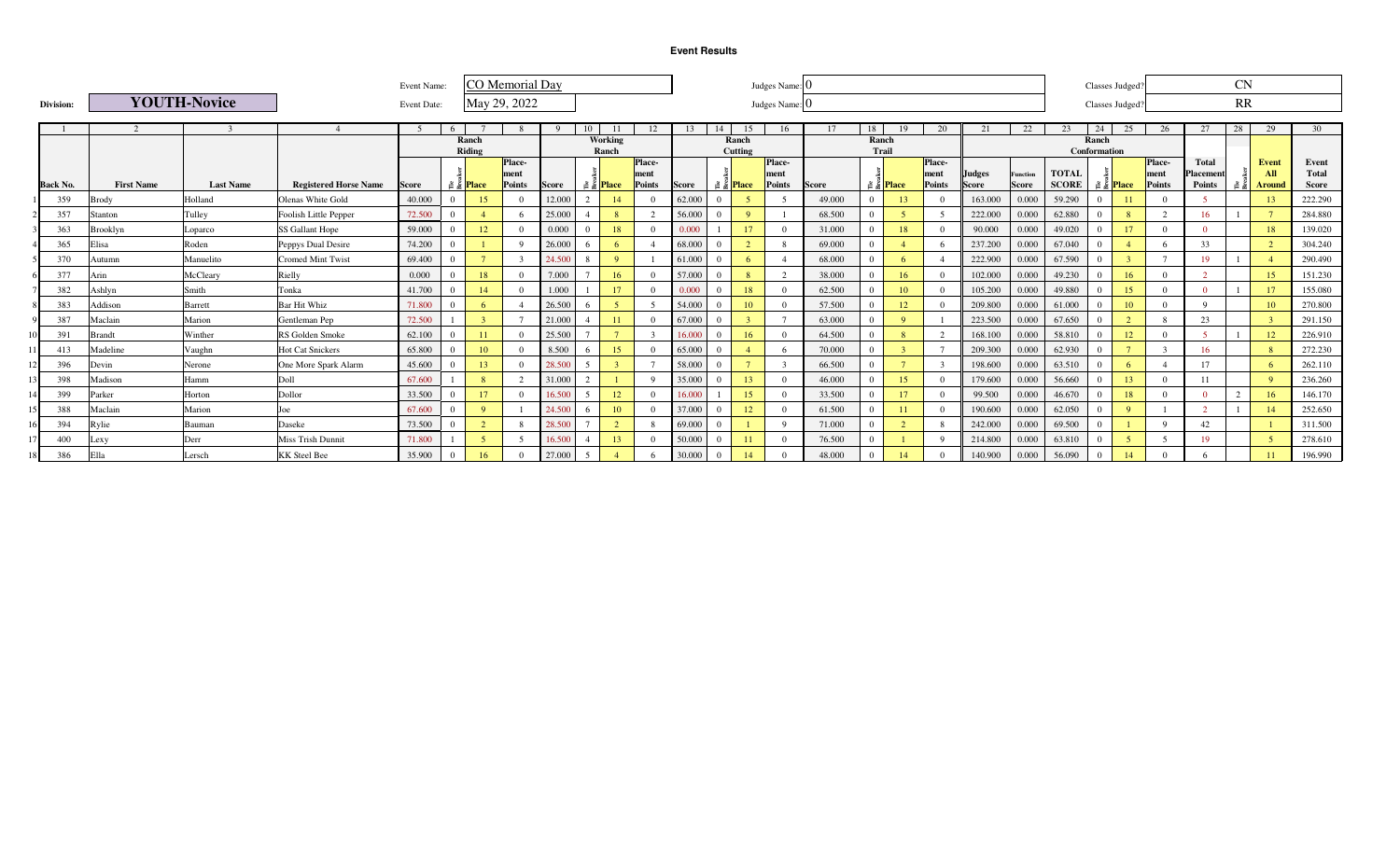|    |                 |                   |                     |                              | Event Name: |          |                               | <b>CO</b> Memorial Day |              |       |                  |                |        |          |                               | Judges Name:  |                     |                |                               |               |               |                 |              |                       | Classes Judged                |               |              | <b>CN</b>      |               |              |
|----|-----------------|-------------------|---------------------|------------------------------|-------------|----------|-------------------------------|------------------------|--------------|-------|------------------|----------------|--------|----------|-------------------------------|---------------|---------------------|----------------|-------------------------------|---------------|---------------|-----------------|--------------|-----------------------|-------------------------------|---------------|--------------|----------------|---------------|--------------|
|    | Division:       |                   | <b>YOUTH-Novice</b> |                              | Event Date: |          |                               | May 29, 2022           |              |       |                  |                |        |          |                               | Judges Name:  |                     |                |                               |               |               |                 |              |                       | Classes Judged                |               |              | RR             |               |              |
|    |                 |                   |                     |                              |             |          |                               |                        |              |       |                  |                |        |          |                               |               |                     |                |                               |               |               |                 |              |                       |                               |               |              |                |               |              |
|    |                 |                   |                     |                              | 5           | 6        |                               |                        |              | 10    |                  | 12             | 13     | 14       | 15                            | 16            |                     | 18             | 19                            | 20            |               | 22              | 23           | 24                    | 25                            | 26            | 27           | 28             | 29            | 30           |
|    |                 |                   |                     |                              |             |          | Ranch<br>Riding               |                        |              |       | Working<br>Ranch |                |        |          | Ranch<br>Cutting              |               |                     | Ranch<br>Trail |                               |               |               |                 |              | Ranch<br>Conformation |                               |               |              |                |               |              |
|    |                 |                   |                     |                              |             |          |                               | Place-                 |              |       |                  | Place-         |        |          |                               | Place-        |                     |                |                               | Place-        |               |                 |              |                       |                               | Place-        | <b>Total</b> |                | Event         | Event        |
|    |                 |                   |                     |                              |             |          |                               | ment                   |              |       |                  | ment           |        |          |                               | ment          |                     |                |                               | ment          | <b>Judges</b> | <b>Function</b> | <b>TOTAL</b> |                       |                               | ment          | Placement    |                | All           | <b>Total</b> |
|    | <b>Back No.</b> | <b>First Name</b> | <b>Last Name</b>    | <b>Registered Horse Name</b> | Score       |          | $\approx$ $\frac{8}{3}$ Place | Points                 | <b>Score</b> | គឺ គឺ | <b>Place</b>     | Points         | Score  |          | $\approx$ $\frac{1}{2}$ Place | <b>Points</b> | <i><b>Score</b></i> |                | $\approx$ $\frac{8}{5}$ Place | <b>Points</b> | <b>Score</b>  | <b>Score</b>    | <b>SCORE</b> |                       | $\approx$ $\frac{8}{5}$ Place | <b>Points</b> | Points       |                | Around        | <b>Score</b> |
|    | 359             | <b>Brody</b>      | Holland             | Olenas White Gold            | 40,000      | $\Omega$ | 15                            |                        | 12.000       |       | 14               | $\Omega$       | 62.000 |          |                               |               | 49,000              |                | 13                            |               | 163,000       | 0.000           | 59.290       | $\Omega$              | -11                           |               |              |                | 13            | 222.290      |
|    | 357             | Stanton           | Tulley              | Foolish Little Pepper        | 72.500      | $\Omega$ |                               |                        | 25.000       |       | -8               | $\overline{2}$ | 56.000 |          | <sup>9</sup>                  |               | 68.500              |                |                               |               | 222.000       | 0.000           | 62.880       | $\Omega$              | 8                             |               | 16           |                |               | 284.880      |
|    | 363             | Brooklyn          | Loparco             | SS Gallant Hope              | 59.000      | $\Omega$ | 12                            |                        | 0.000        |       | 18               | $\Omega$       | 0.000  |          | 17                            | $\Omega$      | 31.000              |                | 18                            |               | 90,000        | 0.000           | 49.020       | 0                     | 17                            |               |              |                | 18            | 139.020      |
|    | 365             | Elisa             | Roden               | Peppys Dual Desire           | 74.200      | $\Omega$ |                               |                        | 26.000       |       | -6               |                | 68.000 |          |                               | 8             | 69.000              |                |                               |               | 237.200       | 0.000           | 67.040       | 0                     |                               |               | 33           |                | $\gamma$      | 304.240      |
|    | 370             | Autumn            | Manuelito           | <b>Cromed Mint Twist</b>     | 69.400      | $\Omega$ |                               |                        | 24.500       |       | $\mathbf{Q}$     |                | 61.000 |          | 6                             |               | 68,000              |                |                               |               | 222.900       | 0.000           | 67.590       |                       |                               |               | 19           |                |               | 290.490      |
|    | 377             | Arin              | McCleary            | Rielly                       | 0.000       | $\Omega$ | 18                            |                        | 7.000        |       | 16               | $\Omega$       | 57.000 | $\Omega$ | 8                             | 2             | 38,000              |                | 16                            |               | 102.000       | 0.000           | 49.230       |                       | 16                            |               | $\sim$       |                | 15            | 151.230      |
|    | 382             | Ashlyn            | Smith               | Tonka                        | 41.700      | $\Omega$ | 14                            |                        | 1.000        |       | 17               | $\Omega$       | 0.000  | $\Omega$ | 18                            | $\Omega$      | 62.500              |                |                               |               | 105.200       | 0.000           | 49.880       | $\Omega$              | 15                            |               |              |                |               | 155.080      |
|    | 383             | Addison           | <b>Barrett</b>      | <b>Bar Hit Whiz</b>          | 71.800      | $\Omega$ |                               |                        | 26.500       |       | -5               |                | 54.000 |          | 10                            | $\Omega$      | 57.500              |                |                               |               | 209.800       | 0.000           | 61.000       | $\Omega$              | 10                            |               | $\Omega$     |                | <sup>10</sup> | 270.800      |
|    | 387             | Maclain           | Marion              | Gentleman Pep                | 72.500      |          |                               |                        | 21,000       |       | 11               | $\Omega$       | 67.000 |          |                               |               | 63.000              |                | $\Omega$                      |               | 223.500       | 0.000           | 67.650       | 0                     | $\bigcirc$                    |               | 23           |                |               | 291.150      |
|    | 391             | <b>Brandt</b>     | Winther             | RS Golden Smoke              | 62.100      | $\Omega$ |                               |                        | 25.500       |       |                  | r.             | 16.000 |          | 16                            | $\Omega$      | 64.500              |                | $\mathbf{R}$                  |               | 168.100       | 0.000           | 58.810       |                       | 12                            |               |              |                | 12            | 226.910      |
|    | 413             | Madeline          | Vaughn              | <b>Hot Cat Snickers</b>      | 65.800      |          | $10-10$                       |                        | 8.500        |       | 15               | $\Omega$       | 65,000 |          |                               | 6             | 70,000              |                |                               |               | 209,300       | 0.000           | 62.930       |                       |                               |               | 16           |                |               | 272.230      |
|    | 396             | Devin             | Nerone              | One More Spark Alarm         | 45.600      | $\Omega$ | 13                            |                        | 28.500       |       |                  |                | 58,000 |          |                               |               | 66.500              |                |                               |               | 198.600       | 0.000           | 63.510       | 0                     | -6                            |               | 17           |                |               | 262.110      |
|    | 398             | Madison           | Hamm                | Doll                         | 67.600      |          |                               |                        | 31.000       |       |                  | $\Omega$       | 35,000 |          | 13                            | $\Omega$      | 46.000              |                | 15                            |               | 179,600       | 0.000           | 56.660       | 0                     | 13                            |               |              |                | $^{\circ}$    | 236.260      |
|    | 399             | Parker            | Horton              | Dollor                       | 33.500      | $\Omega$ | 17                            |                        | 16.500       |       | 12               | $\Omega$       | 16.000 |          | 15                            | $\Omega$      | 33.500              |                |                               |               | 99.500        | 0.000           | 46.670       |                       | 18                            |               |              | $\overline{2}$ | 16            | 146.170      |
|    | 388             | Maclain           | Marion              | Joe                          | 67.600      | $\Omega$ | $\mathbf{Q}$                  |                        | 24.500       |       | 10               | $\Omega$       | 37.000 | $\Omega$ | 12                            | $\Omega$      | 61.500              |                |                               |               | 190.600       | 0.000           | 62.050       | $\overline{0}$        | $\overline{9}$                |               |              |                | 14            | 252.650      |
|    | 394             | Rylie             | Bauman              | Daseke                       | 73.500      |          |                               |                        | 28.500       |       |                  |                | 69.000 |          |                               | $\mathbf Q$   | 71.000              |                |                               |               | 242.000       | 0.000           | 69.500       |                       |                               |               | 42           |                |               | 311.500      |
|    | 400             | Lexy              | Derr                | <b>Miss Trish Dunnit</b>     | 71.800      |          |                               |                        | 16.500       |       | 13               | $\Omega$       | 50.000 |          | 11                            | $\Omega$      | 76.500              |                |                               |               | 214.800       | 0.000           | 63.810       | $\Omega$              |                               |               | 19           |                |               | 278.610      |
| 18 | 386             | Ella              | Lersch              | <b>KK</b> Steel Bee          | 35.900      | $\Omega$ | 16                            |                        | 27.000       |       |                  |                | 30.000 |          | 14                            | $\Omega$      | 48,000              |                |                               |               | 140.900       | 0.000           | 56.090       | $\Omega$              | 14                            |               |              |                |               | 196.990      |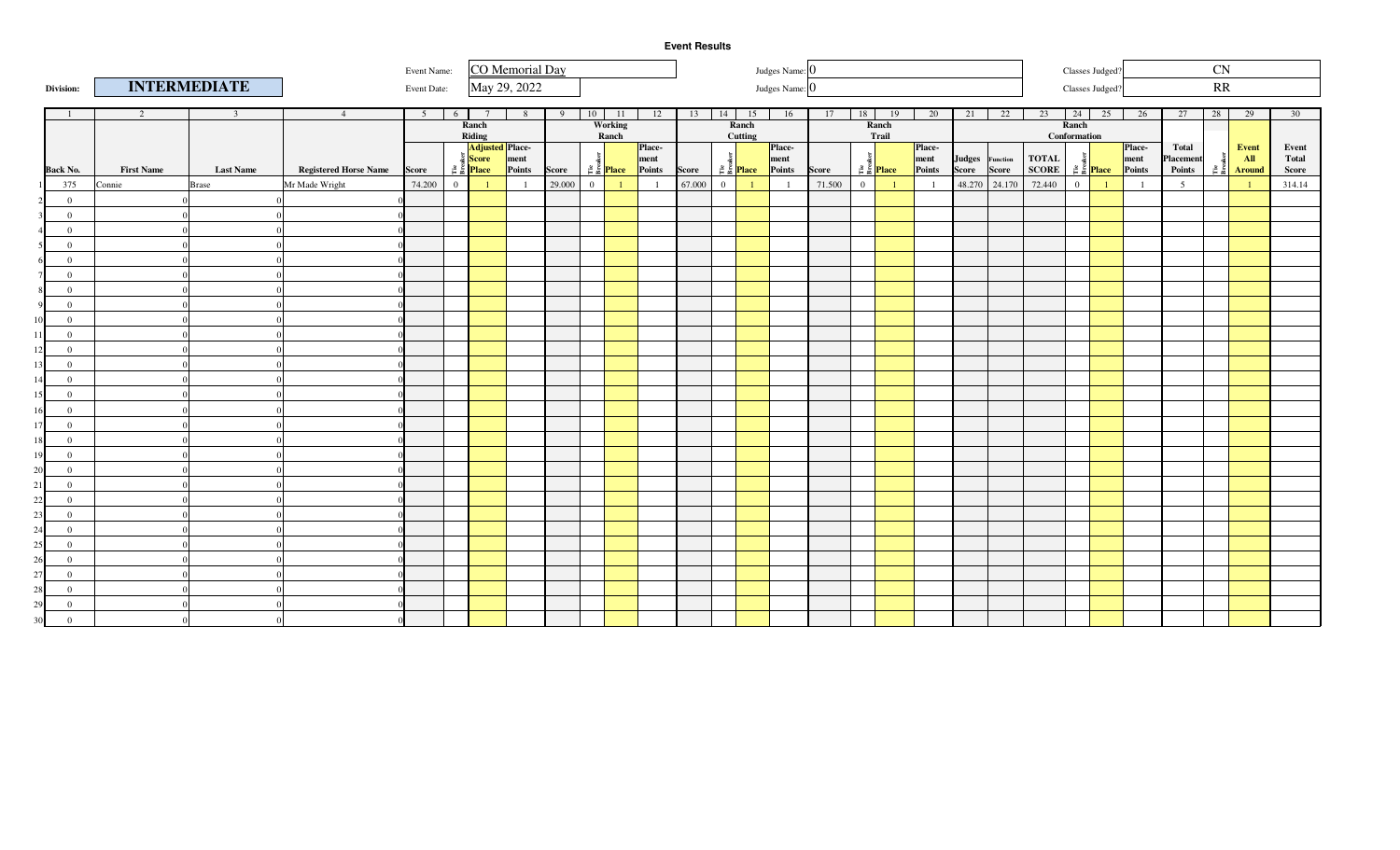|                                   |                   |                     |                              | Event Name:    |                |                                   | CO Memorial Day |        |              |              |                              |        |                      |              | Judges Name: 0             |        |                |                                                  |                |                 |               |               |                | Classes Judged <sup>®</sup>                                                                                                                                  |                |                 | $\mathbf{C}\mathbf{N}$                           |                                                                                                                                                                                                                                                                                                                     |                 |
|-----------------------------------|-------------------|---------------------|------------------------------|----------------|----------------|-----------------------------------|-----------------|--------|--------------|--------------|------------------------------|--------|----------------------|--------------|----------------------------|--------|----------------|--------------------------------------------------|----------------|-----------------|---------------|---------------|----------------|--------------------------------------------------------------------------------------------------------------------------------------------------------------|----------------|-----------------|--------------------------------------------------|---------------------------------------------------------------------------------------------------------------------------------------------------------------------------------------------------------------------------------------------------------------------------------------------------------------------|-----------------|
| Division:                         |                   | <b>INTERMEDIATE</b> |                              | Event Date:    |                |                                   | May 29, 2022    |        |              |              |                              |        |                      |              | Judges Name: 0             |        |                |                                                  |                |                 |               |               |                | Classes Judged?                                                                                                                                              |                |                 | $\ensuremath{\mathbb{R}}\ensuremath{\mathbb{R}}$ |                                                                                                                                                                                                                                                                                                                     |                 |
|                                   | 2                 | $\overline{3}$      | 4                            | 5 <sup>5</sup> | 6              |                                   | 8               | 9      |              | 10 11        | 12                           |        | $13 \mid 14 \mid 15$ |              | 16                         | 17     |                | $18$ 19                                          | 20             |                 | $21 \quad 22$ | 23            |                | $24$ $25$                                                                                                                                                    | 26             | 27              | 28                                               | 29                                                                                                                                                                                                                                                                                                                  | 30 <sup>7</sup> |
|                                   |                   |                     |                              |                |                | Ranch                             |                 |        |              | Working      |                              |        |                      | Ranch        |                            |        |                | Ranch                                            |                |                 |               |               | Ranch          |                                                                                                                                                              |                |                 |                                                  |                                                                                                                                                                                                                                                                                                                     |                 |
|                                   |                   |                     |                              |                |                | Riding<br><b>Adjusted Place</b>   |                 |        |              | Ranch        | Place-                       |        |                      | Cutting      | Place-                     |        |                | Trail                                            | Place-         |                 |               |               | Conformation   |                                                                                                                                                              | <b>Place</b>   | Total           |                                                  | Event                                                                                                                                                                                                                                                                                                               | Event           |
|                                   |                   |                     |                              |                |                | $rac{5}{4}$ Score                 | ment            |        |              |              |                              |        |                      |              | ment                       |        |                |                                                  | ment           | Judges Function |               | ${\bf TOTAL}$ |                |                                                                                                                                                              | ment           | Placement       |                                                  |                                                                                                                                                                                                                                                                                                                     | Total           |
| <b>Back No.</b>                   | <b>First Name</b> | <b>Last Name</b>    | <b>Registered Horse Name</b> | Score          |                | $\frac{3}{2}$ $\frac{3}{2}$ Place | Points          | Score  |              |              | <b>E</b><br>E E Place Points | Score  |                      |              | $\frac{3}{5}$ Place Points | Score  |                | <b>Example 1</b><br>Example 2014<br>Example 2014 | Points         | Score Score     |               | <b>SCORE</b>  |                | <b>Example 1</b><br>Example 21<br>Example 21<br>Example 21<br>Example 21<br>Example 21<br>Example 21<br>Example 21<br>Example 21<br>Example 22<br>Example 21 | Points         | Points          |                                                  | $\frac{1}{2}$ $\frac{1}{2}$ $\frac{1}{2}$ $\frac{1}{2}$ $\frac{1}{2}$ $\frac{1}{2}$ $\frac{1}{2}$ $\frac{1}{2}$ $\frac{1}{2}$ $\frac{1}{2}$ $\frac{1}{2}$ $\frac{1}{2}$ $\frac{1}{2}$ $\frac{1}{2}$ $\frac{1}{2}$ $\frac{1}{2}$ $\frac{1}{2}$ $\frac{1}{2}$ $\frac{1}{2}$ $\frac{1}{2}$ $\frac{1}{2}$ $\frac{1}{2}$ | Score           |
| 375                               | Connie            | <b>Brase</b>        | Mr Made Wright               | 74.200         | $\overline{0}$ |                                   | $\overline{1}$  | 29.000 | $\mathbf{0}$ | $\mathbf{1}$ | $\overline{1}$               | 67.000 | $\overline{0}$       | $\mathbf{1}$ | $\overline{1}$             | 71.500 | $\overline{0}$ | $\overline{1}$                                   | $\overline{1}$ |                 | 48.270 24.170 | 72.440        | $\overline{0}$ | $\mathbf{1}$                                                                                                                                                 | $\overline{1}$ | $5\overline{5}$ |                                                  | $\blacksquare$                                                                                                                                                                                                                                                                                                      | 314.14          |
| $\overline{0}$                    |                   |                     |                              |                |                |                                   |                 |        |              |              |                              |        |                      |              |                            |        |                |                                                  |                |                 |               |               |                |                                                                                                                                                              |                |                 |                                                  |                                                                                                                                                                                                                                                                                                                     |                 |
| $\overline{0}$                    |                   |                     |                              |                |                |                                   |                 |        |              |              |                              |        |                      |              |                            |        |                |                                                  |                |                 |               |               |                |                                                                                                                                                              |                |                 |                                                  |                                                                                                                                                                                                                                                                                                                     |                 |
| $\overline{0}$                    |                   |                     |                              |                |                |                                   |                 |        |              |              |                              |        |                      |              |                            |        |                |                                                  |                |                 |               |               |                |                                                                                                                                                              |                |                 |                                                  |                                                                                                                                                                                                                                                                                                                     |                 |
| $\overline{0}$                    |                   |                     |                              |                |                |                                   |                 |        |              |              |                              |        |                      |              |                            |        |                |                                                  |                |                 |               |               |                |                                                                                                                                                              |                |                 |                                                  |                                                                                                                                                                                                                                                                                                                     |                 |
| $\overline{0}$                    |                   |                     |                              |                |                |                                   |                 |        |              |              |                              |        |                      |              |                            |        |                |                                                  |                |                 |               |               |                |                                                                                                                                                              |                |                 |                                                  |                                                                                                                                                                                                                                                                                                                     |                 |
| $\bf{0}$                          |                   |                     |                              |                |                |                                   |                 |        |              |              |                              |        |                      |              |                            |        |                |                                                  |                |                 |               |               |                |                                                                                                                                                              |                |                 |                                                  |                                                                                                                                                                                                                                                                                                                     |                 |
| $\bf{0}$                          |                   |                     |                              |                |                |                                   |                 |        |              |              |                              |        |                      |              |                            |        |                |                                                  |                |                 |               |               |                |                                                                                                                                                              |                |                 |                                                  |                                                                                                                                                                                                                                                                                                                     |                 |
| $\mathbf{0}$                      |                   |                     |                              |                |                |                                   |                 |        |              |              |                              |        |                      |              |                            |        |                |                                                  |                |                 |               |               |                |                                                                                                                                                              |                |                 |                                                  |                                                                                                                                                                                                                                                                                                                     |                 |
| $\overline{0}$                    |                   |                     |                              |                |                |                                   |                 |        |              |              |                              |        |                      |              |                            |        |                |                                                  |                |                 |               |               |                |                                                                                                                                                              |                |                 |                                                  |                                                                                                                                                                                                                                                                                                                     |                 |
| $\overline{0}$<br>111             |                   |                     |                              |                |                |                                   |                 |        |              |              |                              |        |                      |              |                            |        |                |                                                  |                |                 |               |               |                |                                                                                                                                                              |                |                 |                                                  |                                                                                                                                                                                                                                                                                                                     |                 |
| $\overline{0}$<br>12              |                   |                     |                              |                |                |                                   |                 |        |              |              |                              |        |                      |              |                            |        |                |                                                  |                |                 |               |               |                |                                                                                                                                                              |                |                 |                                                  |                                                                                                                                                                                                                                                                                                                     |                 |
| $\overline{0}$<br>13 <sup>1</sup> |                   |                     |                              |                |                |                                   |                 |        |              |              |                              |        |                      |              |                            |        |                |                                                  |                |                 |               |               |                |                                                                                                                                                              |                |                 |                                                  |                                                                                                                                                                                                                                                                                                                     |                 |
| $\overline{0}$<br>14              |                   |                     |                              |                |                |                                   |                 |        |              |              |                              |        |                      |              |                            |        |                |                                                  |                |                 |               |               |                |                                                                                                                                                              |                |                 |                                                  |                                                                                                                                                                                                                                                                                                                     |                 |
| 15 <sup>1</sup><br>$\overline{0}$ |                   |                     |                              |                |                |                                   |                 |        |              |              |                              |        |                      |              |                            |        |                |                                                  |                |                 |               |               |                |                                                                                                                                                              |                |                 |                                                  |                                                                                                                                                                                                                                                                                                                     |                 |
| $\bf{0}$<br>16                    |                   |                     |                              |                |                |                                   |                 |        |              |              |                              |        |                      |              |                            |        |                |                                                  |                |                 |               |               |                |                                                                                                                                                              |                |                 |                                                  |                                                                                                                                                                                                                                                                                                                     |                 |
| $\overline{0}$<br>17              |                   |                     |                              |                |                |                                   |                 |        |              |              |                              |        |                      |              |                            |        |                |                                                  |                |                 |               |               |                |                                                                                                                                                              |                |                 |                                                  |                                                                                                                                                                                                                                                                                                                     |                 |
| $\overline{0}$<br>18              |                   |                     |                              |                |                |                                   |                 |        |              |              |                              |        |                      |              |                            |        |                |                                                  |                |                 |               |               |                |                                                                                                                                                              |                |                 |                                                  |                                                                                                                                                                                                                                                                                                                     |                 |
| $\overline{0}$<br>19              |                   |                     |                              |                |                |                                   |                 |        |              |              |                              |        |                      |              |                            |        |                |                                                  |                |                 |               |               |                |                                                                                                                                                              |                |                 |                                                  |                                                                                                                                                                                                                                                                                                                     |                 |
| 20<br>$\overline{0}$              |                   |                     |                              |                |                |                                   |                 |        |              |              |                              |        |                      |              |                            |        |                |                                                  |                |                 |               |               |                |                                                                                                                                                              |                |                 |                                                  |                                                                                                                                                                                                                                                                                                                     |                 |
| $\bf{0}$<br>21                    |                   |                     |                              |                |                |                                   |                 |        |              |              |                              |        |                      |              |                            |        |                |                                                  |                |                 |               |               |                |                                                                                                                                                              |                |                 |                                                  |                                                                                                                                                                                                                                                                                                                     |                 |
| 22<br>$\overline{0}$              |                   |                     |                              |                |                |                                   |                 |        |              |              |                              |        |                      |              |                            |        |                |                                                  |                |                 |               |               |                |                                                                                                                                                              |                |                 |                                                  |                                                                                                                                                                                                                                                                                                                     |                 |
| 23<br>$\overline{0}$              |                   |                     |                              |                |                |                                   |                 |        |              |              |                              |        |                      |              |                            |        |                |                                                  |                |                 |               |               |                |                                                                                                                                                              |                |                 |                                                  |                                                                                                                                                                                                                                                                                                                     |                 |
| $\overline{0}$<br>24              |                   |                     |                              |                |                |                                   |                 |        |              |              |                              |        |                      |              |                            |        |                |                                                  |                |                 |               |               |                |                                                                                                                                                              |                |                 |                                                  |                                                                                                                                                                                                                                                                                                                     |                 |
| $\overline{0}$<br>25              |                   |                     |                              |                |                |                                   |                 |        |              |              |                              |        |                      |              |                            |        |                |                                                  |                |                 |               |               |                |                                                                                                                                                              |                |                 |                                                  |                                                                                                                                                                                                                                                                                                                     |                 |
| $\overline{0}$<br>26              |                   |                     |                              |                |                |                                   |                 |        |              |              |                              |        |                      |              |                            |        |                |                                                  |                |                 |               |               |                |                                                                                                                                                              |                |                 |                                                  |                                                                                                                                                                                                                                                                                                                     |                 |
| $\overline{0}$<br>27              |                   |                     |                              |                |                |                                   |                 |        |              |              |                              |        |                      |              |                            |        |                |                                                  |                |                 |               |               |                |                                                                                                                                                              |                |                 |                                                  |                                                                                                                                                                                                                                                                                                                     |                 |
| $\overline{0}$<br>28              |                   |                     |                              |                |                |                                   |                 |        |              |              |                              |        |                      |              |                            |        |                |                                                  |                |                 |               |               |                |                                                                                                                                                              |                |                 |                                                  |                                                                                                                                                                                                                                                                                                                     |                 |
| 29<br>$\overline{0}$              |                   |                     |                              |                |                |                                   |                 |        |              |              |                              |        |                      |              |                            |        |                |                                                  |                |                 |               |               |                |                                                                                                                                                              |                |                 |                                                  |                                                                                                                                                                                                                                                                                                                     |                 |
| 30<br>$\overline{0}$              |                   |                     |                              |                |                |                                   |                 |        |              |              |                              |        |                      |              |                            |        |                |                                                  |                |                 |               |               |                |                                                                                                                                                              |                |                 |                                                  |                                                                                                                                                                                                                                                                                                                     |                 |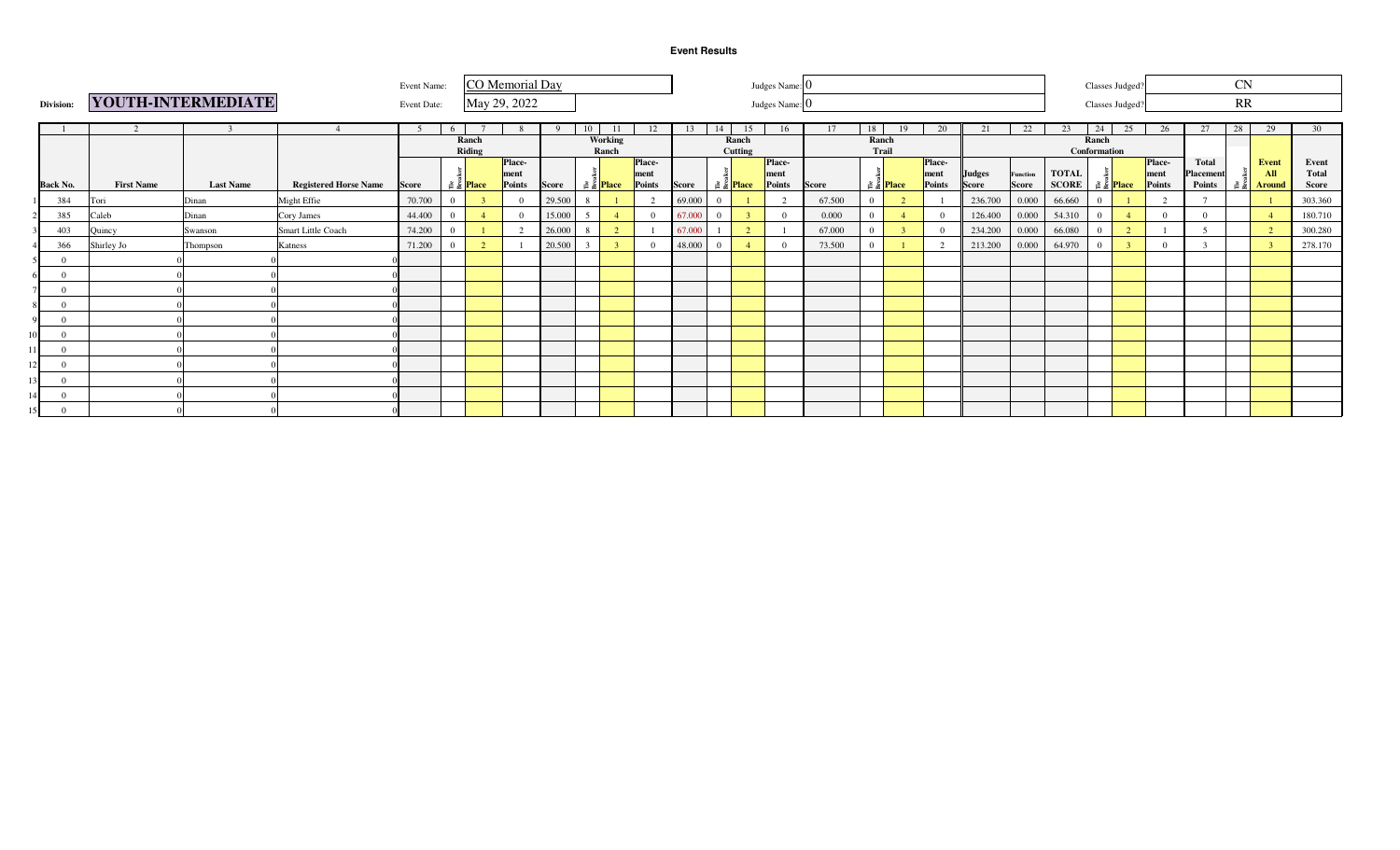|                 |                   |                    |                              | Event Name: |                                    |        | CO Memorial Day |              |                             |         |                |        |    |                             | Judges Name:   |              |          |                             |                |               |                 |              |                | Classes Judged?             |                |                           | <b>CN</b> |                |                       |
|-----------------|-------------------|--------------------|------------------------------|-------------|------------------------------------|--------|-----------------|--------------|-----------------------------|---------|----------------|--------|----|-----------------------------|----------------|--------------|----------|-----------------------------|----------------|---------------|-----------------|--------------|----------------|-----------------------------|----------------|---------------------------|-----------|----------------|-----------------------|
| Division:       |                   | YOUTH-INTERMEDIATE |                              | Event Date: |                                    |        | May 29, 2022    |              |                             |         |                |        |    |                             | Judges Name: 0 |              |          |                             |                |               |                 |              |                | Classes Judged?             |                |                           | RR        |                |                       |
|                 |                   |                    |                              |             | 6                                  |        |                 |              | 10                          | -11     | 12             | 13     | 14 | 15                          | 16             | 17           | 18       | 19                          | 20             | 21            | 22              | 23           | 24             | 25                          | 26             | 27                        | 28        | 29             | 30                    |
|                 |                   |                    |                              |             |                                    | Ranch  |                 |              |                             | Working |                |        |    | Ranch                       |                |              | Ranch    |                             |                |               |                 |              | Ranch          |                             |                |                           |           |                |                       |
|                 |                   |                    |                              |             |                                    | Riding |                 |              |                             | Ranch   |                |        |    | Cutting                     |                |              | Trail    |                             |                |               |                 |              | Conformation   |                             |                |                           |           |                |                       |
|                 |                   |                    |                              |             |                                    |        | Place-<br>ment  |              |                             |         | Place-<br>ment |        |    |                             | Place-<br>ment |              |          |                             | Place-<br>ment | <b>Judges</b> | <b>Function</b> | <b>TOTAL</b> |                |                             | Place-<br>ment | <b>Total</b><br>Placement |           | Event<br>All   | Event<br><b>Total</b> |
| <b>Back No.</b> | <b>First Name</b> | <b>Last Name</b>   | <b>Registered Horse Name</b> | Score       | $\frac{3}{12}$ $\frac{3}{2}$ Place |        | Points          | <b>Score</b> | $\approx \frac{8}{5}$ Place |         | Points         | Score  |    | $\approx \frac{8}{5}$ Place | Points         | <b>Score</b> |          | $\approx \frac{8}{5}$ Place | Points         | Score         | <b>Score</b>    | <b>SCORE</b> |                | $\approx \frac{8}{5}$ Place | Points         | Points                    | 2 E       | <b>Around</b>  | Score                 |
| 384             | Tori              | Dinan              | Might Effie                  | 70.700      | $\overline{0}$                     |        |                 | 29.500       |                             |         | $\overline{2}$ | 69.000 |    |                             |                | 67.500       | $\Omega$ |                             |                | 236.700       | 0.000           | 66.660       | $\Omega$       |                             | $\gamma$       |                           |           |                | 303.360               |
|                 | 385<br>Caleb      | Dinan              | Cory James                   | 44.400      | $\Omega$                           |        |                 | 15.000       |                             |         | $\overline{0}$ | 67.000 |    |                             |                | 0.000        |          |                             |                | 126.400       | 0.000           | 54.310       | $\Omega$       | $\overline{4}$              | $\overline{0}$ | $\Omega$                  |           |                | 180.710               |
|                 | 403<br>Quincy     | Swanson            | Smart Little Coach           | 74.200      | $\Omega$                           |        | $\sqrt{ }$      | 26.000       | -8                          | 2       | - 1            | 67.000 |    | $\sim$                      |                | 67.000       | $\Omega$ |                             |                | 234.200       | 0.000           | 66.080       | $\Omega$       | $\overline{2}$              |                |                           |           | $\overline{2}$ | 300.280               |
|                 | Shirley Jo<br>366 | Thompson           | Katness                      | 71.200      | $\mathbf{0}$                       |        |                 | 20.500       |                             |         | $\Omega$       | 48.000 |    |                             |                | 73.500       |          |                             |                | 213.200       | 0.000           | 64.970       | $\overline{0}$ | $\overline{\mathbf{3}}$     |                |                           |           |                | 278.170               |
|                 |                   |                    |                              |             |                                    |        |                 |              |                             |         |                |        |    |                             |                |              |          |                             |                |               |                 |              |                |                             |                |                           |           |                |                       |
|                 |                   |                    |                              |             |                                    |        |                 |              |                             |         |                |        |    |                             |                |              |          |                             |                |               |                 |              |                |                             |                |                           |           |                |                       |
|                 |                   |                    |                              |             |                                    |        |                 |              |                             |         |                |        |    |                             |                |              |          |                             |                |               |                 |              |                |                             |                |                           |           |                |                       |
|                 |                   |                    |                              |             |                                    |        |                 |              |                             |         |                |        |    |                             |                |              |          |                             |                |               |                 |              |                |                             |                |                           |           |                |                       |
|                 |                   |                    |                              |             |                                    |        |                 |              |                             |         |                |        |    |                             |                |              |          |                             |                |               |                 |              |                |                             |                |                           |           |                |                       |
|                 |                   |                    |                              |             |                                    |        |                 |              |                             |         |                |        |    |                             |                |              |          |                             |                |               |                 |              |                |                             |                |                           |           |                |                       |
|                 |                   |                    |                              |             |                                    |        |                 |              |                             |         |                |        |    |                             |                |              |          |                             |                |               |                 |              |                |                             |                |                           |           |                |                       |
|                 |                   |                    |                              |             |                                    |        |                 |              |                             |         |                |        |    |                             |                |              |          |                             |                |               |                 |              |                |                             |                |                           |           |                |                       |
|                 |                   |                    |                              |             |                                    |        |                 |              |                             |         |                |        |    |                             |                |              |          |                             |                |               |                 |              |                |                             |                |                           |           |                |                       |
|                 |                   |                    |                              |             |                                    |        |                 |              |                             |         |                |        |    |                             |                |              |          |                             |                |               |                 |              |                |                             |                |                           |           |                |                       |
|                 |                   |                    |                              |             |                                    |        |                 |              |                             |         |                |        |    |                             |                |              |          |                             |                |               |                 |              |                |                             |                |                           |           |                |                       |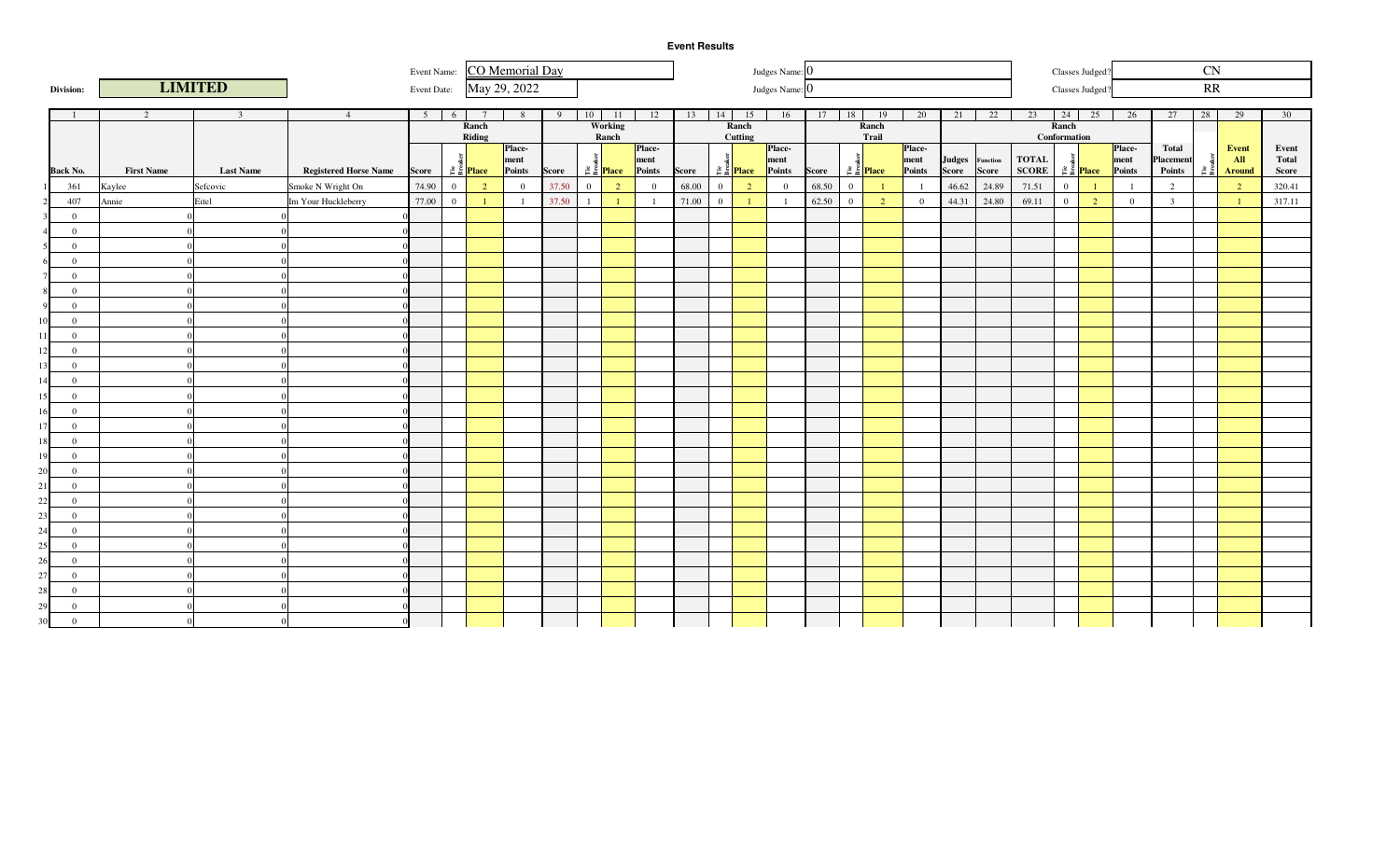Event Name: CO Memorial Day

| Judges Name: 0 |  |
|----------------|--|

Classes Judged?

CN

|    | Division:                        |                   | <b>LIMITED</b>          |                              | Event Date:    |                |                                   | May 29, 2022   |       |              |                        |                |       |                |                                   | Judges Name: 0 |       |                |                                   |                |                 |       |              |                       | Classes Judged?                   |                |                | RR   |                 |        |
|----|----------------------------------|-------------------|-------------------------|------------------------------|----------------|----------------|-----------------------------------|----------------|-------|--------------|------------------------|----------------|-------|----------------|-----------------------------------|----------------|-------|----------------|-----------------------------------|----------------|-----------------|-------|--------------|-----------------------|-----------------------------------|----------------|----------------|------|-----------------|--------|
|    |                                  |                   |                         |                              |                |                |                                   |                |       |              |                        |                |       |                |                                   |                |       |                |                                   |                |                 |       |              |                       |                                   |                |                |      |                 |        |
|    |                                  | 2                 | $\overline{\mathbf{3}}$ | $\overline{4}$               | 5 <sup>5</sup> | 6 <sup>6</sup> |                                   | 8              | 9     | 10           | $\overline{11}$        | 12             | 13    | 14             | 15                                | 16             | 17    | 18             | 19                                | 20             | 21              | 22    | 23           |                       | 24 25                             | 26             | 27             | 28   | $\overline{29}$ | 30     |
|    |                                  |                   |                         |                              |                |                | Ranch<br>Riding                   |                |       |              | Working<br>Ranch       |                |       |                | Ranch<br>Cutting                  |                |       |                | Ranch<br>Trail                    |                |                 |       |              | Ranch<br>Conformation |                                   |                |                |      |                 |        |
|    |                                  |                   |                         |                              |                |                |                                   | <b>Place</b>   |       |              |                        | Place-         |       |                |                                   | <b>Place</b>   |       |                |                                   | <b>Place</b>   |                 |       |              |                       |                                   | Place-         | Total          |      | Event           | Event  |
|    |                                  |                   |                         |                              |                |                |                                   | ment           |       |              |                        | ment           |       |                |                                   | ment           |       |                |                                   | ment           | Judges Function |       | <b>TOTAL</b> |                       |                                   | ment           | Placement      |      | AII             | Total  |
|    | <b>Back No.</b>                  | <b>First Name</b> | <b>Last Name</b>        | <b>Registered Horse Name</b> | Score          |                | $\frac{3}{2}$ $\frac{5}{2}$ Place | Points         | Score |              | $\sum_{i=1}^{8}$ Place | Points         | Score |                | $\frac{3}{2}$ $\frac{3}{2}$ Place | Points         | Score |                | $\frac{3}{5}$ $\frac{3}{5}$ Place | Points         | Score           | Score | <b>SCORE</b> |                       | $\frac{3}{2}$ $\frac{3}{2}$ Place | Points         | Points         | ី គី | <b>Around</b>   | Score  |
|    | 361                              | Kaylee            | Sefcovic                | Smoke N Wright On            | 74.90          | $\overline{0}$ | $\overline{2}$                    | $\overline{0}$ | 37.50 | $\mathbf{0}$ | 2                      | $\overline{0}$ | 68.00 | $\overline{0}$ | <sup>2</sup>                      | $\overline{0}$ | 68.50 | $\theta$       |                                   |                | 46.62           | 24.89 | 71.51        | $\overline{0}$        |                                   | $\overline{1}$ | 2              |      | $\overline{2}$  | 320.41 |
|    | 407                              | Annie             | Eitel                   | Im Your Huckleberry          | 77.00          | $\overline{0}$ |                                   | $\overline{1}$ | 37.50 | $\mathbf{1}$ | $\overline{1}$         | $\overline{1}$ | 71.00 | $\overline{0}$ |                                   |                | 62.50 | $\overline{0}$ | $\overline{2}$                    | $\overline{0}$ | 44.31           | 24.80 | 69.11        | $\overline{0}$        | $\overline{2}$                    | $\overline{0}$ | $\overline{3}$ |      | $\blacksquare$  | 317.11 |
|    | $\bf{0}$                         |                   | $\Omega$                |                              |                |                |                                   |                |       |              |                        |                |       |                |                                   |                |       |                |                                   |                |                 |       |              |                       |                                   |                |                |      |                 |        |
|    | $\overline{0}$                   |                   |                         |                              |                |                |                                   |                |       |              |                        |                |       |                |                                   |                |       |                |                                   |                |                 |       |              |                       |                                   |                |                |      |                 |        |
|    | $\mathbf{0}$                     |                   |                         |                              |                |                |                                   |                |       |              |                        |                |       |                |                                   |                |       |                |                                   |                |                 |       |              |                       |                                   |                |                |      |                 |        |
|    | $\mathbf{0}$                     |                   |                         |                              |                |                |                                   |                |       |              |                        |                |       |                |                                   |                |       |                |                                   |                |                 |       |              |                       |                                   |                |                |      |                 |        |
|    | $\mathbf{0}$                     |                   |                         |                              |                |                |                                   |                |       |              |                        |                |       |                |                                   |                |       |                |                                   |                |                 |       |              |                       |                                   |                |                |      |                 |        |
|    | $\overline{0}$                   |                   |                         |                              |                |                |                                   |                |       |              |                        |                |       |                |                                   |                |       |                |                                   |                |                 |       |              |                       |                                   |                |                |      |                 |        |
|    | $\overline{0}$                   |                   |                         |                              |                |                |                                   |                |       |              |                        |                |       |                |                                   |                |       |                |                                   |                |                 |       |              |                       |                                   |                |                |      |                 |        |
|    | $\Omega$                         |                   |                         |                              |                |                |                                   |                |       |              |                        |                |       |                |                                   |                |       |                |                                   |                |                 |       |              |                       |                                   |                |                |      |                 |        |
|    | $\Omega$                         |                   |                         |                              |                |                |                                   |                |       |              |                        |                |       |                |                                   |                |       |                |                                   |                |                 |       |              |                       |                                   |                |                |      |                 |        |
|    | $\overline{0}$<br>$\overline{0}$ |                   | $\Omega$<br>$\Omega$    |                              |                |                |                                   |                |       |              |                        |                |       |                |                                   |                |       |                |                                   |                |                 |       |              |                       |                                   |                |                |      |                 |        |
|    | $\overline{0}$                   |                   |                         |                              |                |                |                                   |                |       |              |                        |                |       |                |                                   |                |       |                |                                   |                |                 |       |              |                       |                                   |                |                |      |                 |        |
|    | $\mathbf{0}$                     |                   |                         |                              |                |                |                                   |                |       |              |                        |                |       |                |                                   |                |       |                |                                   |                |                 |       |              |                       |                                   |                |                |      |                 |        |
|    | $\overline{0}$                   |                   |                         |                              |                |                |                                   |                |       |              |                        |                |       |                |                                   |                |       |                |                                   |                |                 |       |              |                       |                                   |                |                |      |                 |        |
|    | $\overline{0}$                   |                   |                         |                              |                |                |                                   |                |       |              |                        |                |       |                |                                   |                |       |                |                                   |                |                 |       |              |                       |                                   |                |                |      |                 |        |
|    | $\Omega$                         |                   |                         |                              |                |                |                                   |                |       |              |                        |                |       |                |                                   |                |       |                |                                   |                |                 |       |              |                       |                                   |                |                |      |                 |        |
|    | $\Omega$                         |                   |                         |                              |                |                |                                   |                |       |              |                        |                |       |                |                                   |                |       |                |                                   |                |                 |       |              |                       |                                   |                |                |      |                 |        |
|    | $\Omega$                         |                   |                         |                              |                |                |                                   |                |       |              |                        |                |       |                |                                   |                |       |                |                                   |                |                 |       |              |                       |                                   |                |                |      |                 |        |
|    | $\mathbf{0}$                     |                   |                         |                              |                |                |                                   |                |       |              |                        |                |       |                |                                   |                |       |                |                                   |                |                 |       |              |                       |                                   |                |                |      |                 |        |
|    | $\Omega$                         |                   |                         |                              |                |                |                                   |                |       |              |                        |                |       |                |                                   |                |       |                |                                   |                |                 |       |              |                       |                                   |                |                |      |                 |        |
|    | $\overline{0}$                   |                   |                         |                              |                |                |                                   |                |       |              |                        |                |       |                |                                   |                |       |                |                                   |                |                 |       |              |                       |                                   |                |                |      |                 |        |
|    | $\overline{0}$                   |                   |                         |                              |                |                |                                   |                |       |              |                        |                |       |                |                                   |                |       |                |                                   |                |                 |       |              |                       |                                   |                |                |      |                 |        |
|    | $\Omega$                         |                   |                         |                              |                |                |                                   |                |       |              |                        |                |       |                |                                   |                |       |                |                                   |                |                 |       |              |                       |                                   |                |                |      |                 |        |
|    | $\Omega$                         |                   |                         |                              |                |                |                                   |                |       |              |                        |                |       |                |                                   |                |       |                |                                   |                |                 |       |              |                       |                                   |                |                |      |                 |        |
|    | $\mathbf{0}$                     |                   |                         |                              |                |                |                                   |                |       |              |                        |                |       |                |                                   |                |       |                |                                   |                |                 |       |              |                       |                                   |                |                |      |                 |        |
|    | $\overline{0}$                   |                   |                         |                              |                |                |                                   |                |       |              |                        |                |       |                |                                   |                |       |                |                                   |                |                 |       |              |                       |                                   |                |                |      |                 |        |
|    | $\Omega$                         |                   |                         |                              |                |                |                                   |                |       |              |                        |                |       |                |                                   |                |       |                |                                   |                |                 |       |              |                       |                                   |                |                |      |                 |        |
| ۹Û | $\Omega$                         |                   |                         |                              |                |                |                                   |                |       |              |                        |                |       |                |                                   |                |       |                |                                   |                |                 |       |              |                       |                                   |                |                |      |                 |        |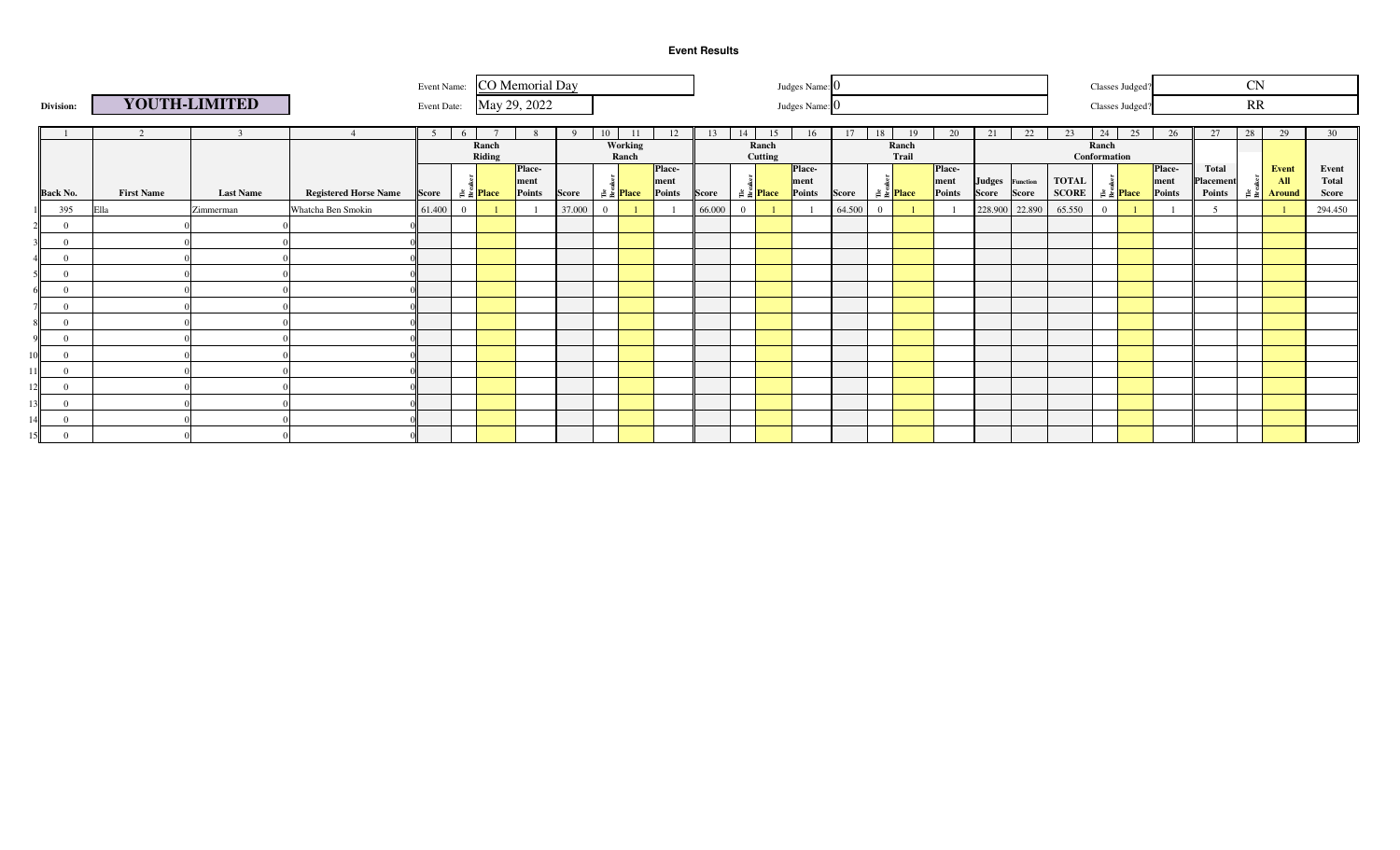|                 |                   |                  |                              |                |                |                                   | Event Name: CO Memorial Day |        |              |                                     |                |        |                |                                   | Judges Name: 0 |              |                |                             |                |    |                 |                                   |                | Classes Judged?                   |                |                     | <b>CN</b> |                                           |                       |
|-----------------|-------------------|------------------|------------------------------|----------------|----------------|-----------------------------------|-----------------------------|--------|--------------|-------------------------------------|----------------|--------|----------------|-----------------------------------|----------------|--------------|----------------|-----------------------------|----------------|----|-----------------|-----------------------------------|----------------|-----------------------------------|----------------|---------------------|-----------|-------------------------------------------|-----------------------|
| Division:       |                   | YOUTH-LIMITED    |                              |                |                |                                   | Event Date: May 29, 2022    |        |              |                                     |                |        |                |                                   | Judges Name: 0 |              |                |                             |                |    |                 |                                   |                | Classes Judged?                   |                |                     | RR        |                                           |                       |
|                 | 2                 |                  |                              | 5 <sup>5</sup> | 6 <sup>0</sup> |                                   |                             | - 9    | 10           | 11                                  | 12             | 13     | 14             | 15                                | 16             | 17           | 18             | 19                          | 20             | 21 | 22              | 23                                | 24             | 25                                | 26             | 27                  | 28        | 29                                        | 30                    |
|                 |                   |                  |                              |                |                | Ranch<br>Riding                   |                             |        |              | Working                             |                |        |                | Ranch                             |                |              |                | Ranch<br>Trail              |                |    |                 |                                   | Ranch          |                                   |                |                     |           |                                           |                       |
|                 |                   |                  |                              |                |                |                                   | <b>Place-</b>               |        |              | Ranch                               | <b>Place-</b>  |        |                | Cutting                           | Place-         |              |                |                             | <b>Place-</b>  |    |                 |                                   | Conformation   |                                   | <b>Place-</b>  | Total               |           | Event                                     | Event                 |
| <b>Back No.</b> | <b>First Name</b> | <b>Last Name</b> | <b>Registered Horse Name</b> | Score          |                | $\frac{3}{2}$ $\frac{3}{2}$ Place | ment<br>Points              | Score  |              | $\frac{3}{16}$ $\frac{1}{16}$ Place | ment<br>Points | Score  |                | $\frac{3}{2}$ $\frac{3}{2}$ Place | ment<br>Points | <b>Score</b> |                | $\approx \frac{8}{4}$ Place | ment<br>Points |    | Judges Function | <b>TOTAL</b><br>Score Score SCORE |                | $\frac{3}{2}$ $\frac{3}{2}$ Place | ment<br>Points | Placement<br>Points |           | All<br>$\frac{3}{2}$ $\frac{2}{3}$ Around | <b>Total</b><br>Score |
| 395             | Ella              | Zimmerman        | Whatcha Ben Smokin           | 61.400         | $\overline{0}$ |                                   |                             | 37.000 | $\mathbf{0}$ |                                     |                | 66.000 | $\overline{0}$ |                                   |                | 64.500       | $\overline{0}$ |                             |                |    | 228.900 22.890  | 65.550                            | $\overline{0}$ |                                   |                |                     |           |                                           | 294.450               |
| $\Omega$        |                   |                  |                              |                |                |                                   |                             |        |              |                                     |                |        |                |                                   |                |              |                |                             |                |    |                 |                                   |                |                                   |                |                     |           |                                           |                       |
| $\Omega$        |                   |                  |                              |                |                |                                   |                             |        |              |                                     |                |        |                |                                   |                |              |                |                             |                |    |                 |                                   |                |                                   |                |                     |           |                                           |                       |
| $\Omega$        |                   |                  |                              |                |                |                                   |                             |        |              |                                     |                |        |                |                                   |                |              |                |                             |                |    |                 |                                   |                |                                   |                |                     |           |                                           |                       |
| $\Omega$        |                   |                  |                              |                |                |                                   |                             |        |              |                                     |                |        |                |                                   |                |              |                |                             |                |    |                 |                                   |                |                                   |                |                     |           |                                           |                       |
| $\mathbf{0}$    |                   |                  |                              |                |                |                                   |                             |        |              |                                     |                |        |                |                                   |                |              |                |                             |                |    |                 |                                   |                |                                   |                |                     |           |                                           |                       |
| $\Omega$        |                   |                  |                              |                |                |                                   |                             |        |              |                                     |                |        |                |                                   |                |              |                |                             |                |    |                 |                                   |                |                                   |                |                     |           |                                           |                       |
| $\Omega$        |                   |                  |                              |                |                |                                   |                             |        |              |                                     |                |        |                |                                   |                |              |                |                             |                |    |                 |                                   |                |                                   |                |                     |           |                                           |                       |
| $\Omega$        |                   |                  |                              |                |                |                                   |                             |        |              |                                     |                |        |                |                                   |                |              |                |                             |                |    |                 |                                   |                |                                   |                |                     |           |                                           |                       |
| $\Omega$        |                   |                  |                              |                |                |                                   |                             |        |              |                                     |                |        |                |                                   |                |              |                |                             |                |    |                 |                                   |                |                                   |                |                     |           |                                           |                       |
| $\Omega$        |                   |                  |                              |                |                |                                   |                             |        |              |                                     |                |        |                |                                   |                |              |                |                             |                |    |                 |                                   |                |                                   |                |                     |           |                                           |                       |
| $\Omega$        |                   |                  |                              |                |                |                                   |                             |        |              |                                     |                |        |                |                                   |                |              |                |                             |                |    |                 |                                   |                |                                   |                |                     |           |                                           |                       |
| $\Omega$        |                   |                  |                              |                |                |                                   |                             |        |              |                                     |                |        |                |                                   |                |              |                |                             |                |    |                 |                                   |                |                                   |                |                     |           |                                           |                       |
| $\overline{0}$  |                   |                  |                              |                |                |                                   |                             |        |              |                                     |                |        |                |                                   |                |              |                |                             |                |    |                 |                                   |                |                                   |                |                     |           |                                           |                       |
| $\Omega$<br>5   |                   |                  |                              |                |                |                                   |                             |        |              |                                     |                |        |                |                                   |                |              |                |                             |                |    |                 |                                   |                |                                   |                |                     |           |                                           |                       |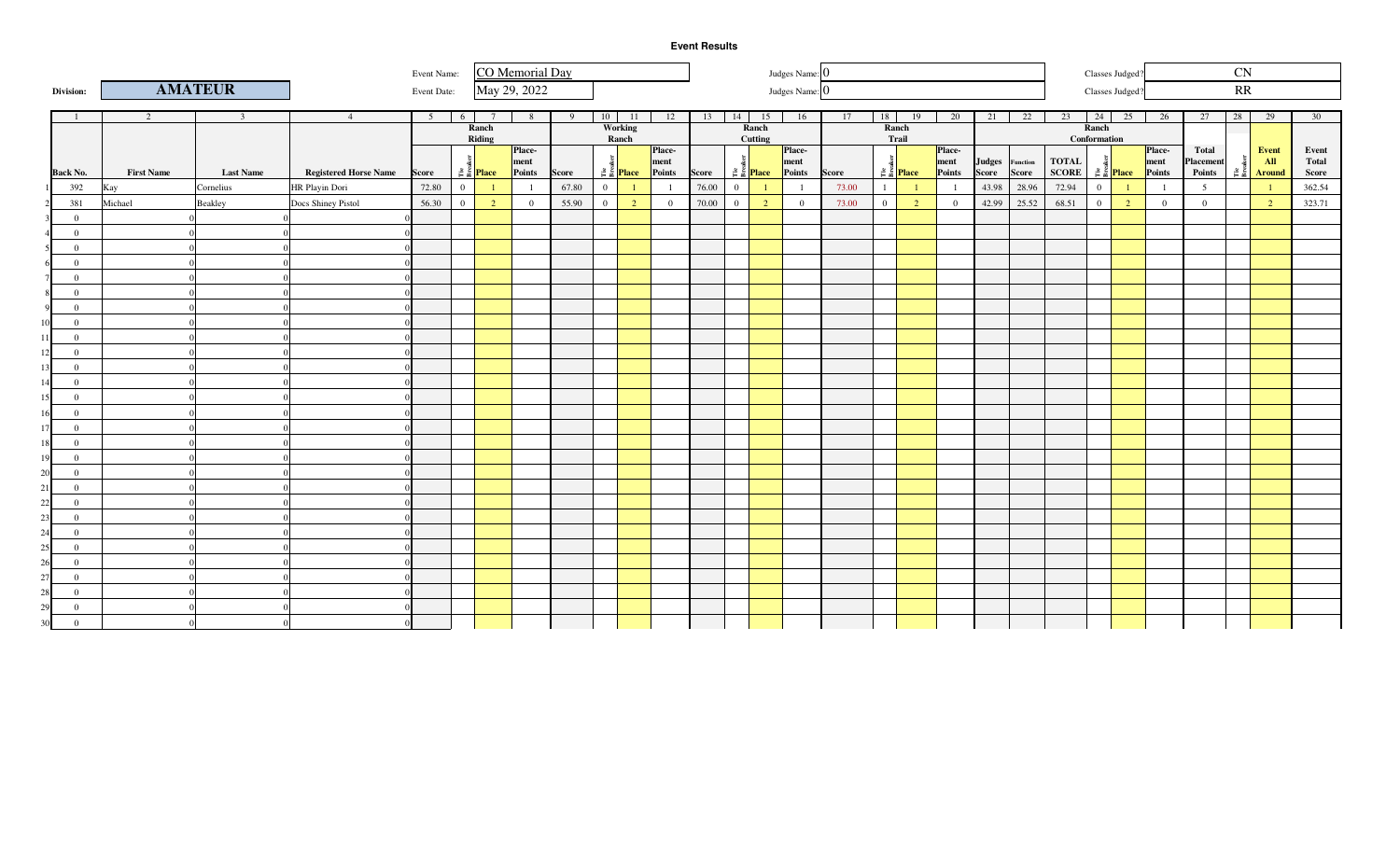**Division:**

|   |             |                        | .              |  |
|---|-------------|------------------------|----------------|--|
|   | Event Name: | <b>CO</b> Memorial Day | Judges Name: 0 |  |
| R | Event Date: | May 29, 2022           | Judges Name: 0 |  |
|   |             |                        |                |  |

| Classes Judged? |  |
|-----------------|--|
| Classes Judged? |  |

|    | Division:       |                   | <b>AMATEUR</b>          |                              | Event Date:    |                |                                   | May 29, 2022   |       |                |                            |                |                      |                |                                   | Judges Name: 0 |              |              |                                   |                |                 |              |              |                | Classes Judged?               |                | RR             |                                    |                |
|----|-----------------|-------------------|-------------------------|------------------------------|----------------|----------------|-----------------------------------|----------------|-------|----------------|----------------------------|----------------|----------------------|----------------|-----------------------------------|----------------|--------------|--------------|-----------------------------------|----------------|-----------------|--------------|--------------|----------------|-------------------------------|----------------|----------------|------------------------------------|----------------|
|    |                 | $\overline{2}$    | $\overline{\mathbf{3}}$ | $\overline{4}$               | 5 <sup>5</sup> | 6              | $\overline{7}$                    | 8              | 9     |                | $10$ 11                    | 12             | $13 \mid 14 \mid 15$ |                |                                   | 16             | 17           | 18           | 19                                | 20             | 21              | 22           | 23           | 24             | 25                            | 26             | 28<br>27       | 29                                 | 30             |
|    |                 |                   |                         |                              |                |                | Ranch                             |                |       |                | Working                    |                |                      |                | Ranch                             |                |              |              | Ranch                             |                |                 |              |              | Ranch          |                               |                |                |                                    |                |
|    |                 |                   |                         |                              |                |                | Riding                            | <b>Place</b>   |       |                | Ranch                      | <b>Place-</b>  |                      |                | Cutting                           | Place-         |              |              | Trail                             | Place-         |                 |              |              | Conformation   |                               | <b>Place</b>   | Total          | Event                              |                |
|    |                 |                   |                         |                              |                |                |                                   | ment           |       |                |                            | ment           |                      |                |                                   | ment           |              |              |                                   | ment           | Judges Function |              | <b>TOTAL</b> |                |                               | ment           | Placement      | <b>All</b>                         | Event<br>Total |
|    | <b>Back No.</b> | <b>First Name</b> | <b>Last Name</b>        | <b>Registered Horse Name</b> | Score          |                | $\frac{3}{2}$ $\frac{3}{2}$ Place | Points         | Score |                | $\frac{3}{5}$ Place Points |                | <b>Score</b>         |                | $\frac{3}{2}$ $\frac{3}{2}$ Place | Points         | <b>Score</b> |              | $\frac{3}{2}$ $\frac{3}{2}$ Place | Points         | Score           | <b>Score</b> | <b>SCORE</b> |                | $rac{3}{2}$ $rac{1}{2}$ Place | Points         | Points         | $\frac{3}{2}$ $\frac{2}{3}$ Around | Score          |
|    | 392             | Kay               | Cornelius               | HR Playin Dori               | 72.80          | $\overline{0}$ |                                   |                | 67.80 | $\overline{0}$ | $\mathbf{1}$               |                | 76.00                | $\overline{0}$ |                                   | $\overline{1}$ | 73.00        | $\mathbf{1}$ | $\overline{1}$                    |                | 43.98           | 28.96        | 72.94        | $\overline{0}$ | $\mathbf{1}$                  |                | 5              |                                    | 362.54         |
|    | 381             | Michael           | Beakley                 | Docs Shiney Pistol           | 56.30          | $\overline{0}$ | $\overline{2}$                    | $\overline{0}$ | 55.90 | $\overline{0}$ | $\overline{2}$             | $\overline{0}$ | 70.00                | $\overline{0}$ | $\overline{2}$                    | $\overline{0}$ | 73.00        | $\bf{0}$     | $\overline{2}$                    | $\overline{0}$ |                 | 42.99 25.52  | 68.51        | $\mathbf{0}$   | $\overline{2}$                | $\overline{0}$ | $\overline{0}$ | $\overline{2}$                     | 323.71         |
|    | $\overline{0}$  |                   |                         |                              |                |                |                                   |                |       |                |                            |                |                      |                |                                   |                |              |              |                                   |                |                 |              |              |                |                               |                |                |                                    |                |
|    | $\overline{0}$  |                   |                         |                              |                |                |                                   |                |       |                |                            |                |                      |                |                                   |                |              |              |                                   |                |                 |              |              |                |                               |                |                |                                    |                |
|    | $\overline{0}$  |                   |                         |                              |                |                |                                   |                |       |                |                            |                |                      |                |                                   |                |              |              |                                   |                |                 |              |              |                |                               |                |                |                                    |                |
|    | $\overline{0}$  |                   |                         |                              |                |                |                                   |                |       |                |                            |                |                      |                |                                   |                |              |              |                                   |                |                 |              |              |                |                               |                |                |                                    |                |
|    | $\overline{0}$  |                   |                         |                              |                |                |                                   |                |       |                |                            |                |                      |                |                                   |                |              |              |                                   |                |                 |              |              |                |                               |                |                |                                    |                |
|    | $\overline{0}$  |                   |                         |                              |                |                |                                   |                |       |                |                            |                |                      |                |                                   |                |              |              |                                   |                |                 |              |              |                |                               |                |                |                                    |                |
|    | $\overline{0}$  |                   |                         |                              |                |                |                                   |                |       |                |                            |                |                      |                |                                   |                |              |              |                                   |                |                 |              |              |                |                               |                |                |                                    |                |
|    | $\overline{0}$  |                   |                         |                              |                |                |                                   |                |       |                |                            |                |                      |                |                                   |                |              |              |                                   |                |                 |              |              |                |                               |                |                |                                    |                |
|    | $\overline{0}$  |                   |                         |                              |                |                |                                   |                |       |                |                            |                |                      |                |                                   |                |              |              |                                   |                |                 |              |              |                |                               |                |                |                                    |                |
|    | $\overline{0}$  |                   |                         |                              |                |                |                                   |                |       |                |                            |                |                      |                |                                   |                |              |              |                                   |                |                 |              |              |                |                               |                |                |                                    |                |
|    | $\overline{0}$  |                   |                         |                              |                |                |                                   |                |       |                |                            |                |                      |                |                                   |                |              |              |                                   |                |                 |              |              |                |                               |                |                |                                    |                |
|    | $\overline{0}$  |                   |                         |                              |                |                |                                   |                |       |                |                            |                |                      |                |                                   |                |              |              |                                   |                |                 |              |              |                |                               |                |                |                                    |                |
|    | $\overline{0}$  |                   |                         |                              |                |                |                                   |                |       |                |                            |                |                      |                |                                   |                |              |              |                                   |                |                 |              |              |                |                               |                |                |                                    |                |
|    | $\overline{0}$  |                   |                         |                              |                |                |                                   |                |       |                |                            |                |                      |                |                                   |                |              |              |                                   |                |                 |              |              |                |                               |                |                |                                    |                |
|    | $\overline{0}$  |                   |                         |                              |                |                |                                   |                |       |                |                            |                |                      |                |                                   |                |              |              |                                   |                |                 |              |              |                |                               |                |                |                                    |                |
|    | $\overline{0}$  |                   |                         |                              |                |                |                                   |                |       |                |                            |                |                      |                |                                   |                |              |              |                                   |                |                 |              |              |                |                               |                |                |                                    |                |
|    | $\overline{0}$  |                   |                         |                              |                |                |                                   |                |       |                |                            |                |                      |                |                                   |                |              |              |                                   |                |                 |              |              |                |                               |                |                |                                    |                |
|    | $\overline{0}$  |                   |                         |                              |                |                |                                   |                |       |                |                            |                |                      |                |                                   |                |              |              |                                   |                |                 |              |              |                |                               |                |                |                                    |                |
|    | $\overline{0}$  |                   |                         |                              |                |                |                                   |                |       |                |                            |                |                      |                |                                   |                |              |              |                                   |                |                 |              |              |                |                               |                |                |                                    |                |
|    | $\overline{0}$  |                   |                         |                              |                |                |                                   |                |       |                |                            |                |                      |                |                                   |                |              |              |                                   |                |                 |              |              |                |                               |                |                |                                    |                |
|    | $\overline{0}$  |                   |                         |                              |                |                |                                   |                |       |                |                            |                |                      |                |                                   |                |              |              |                                   |                |                 |              |              |                |                               |                |                |                                    |                |
|    | $\overline{0}$  |                   |                         |                              |                |                |                                   |                |       |                |                            |                |                      |                |                                   |                |              |              |                                   |                |                 |              |              |                |                               |                |                |                                    |                |
|    | $\overline{0}$  |                   |                         |                              |                |                |                                   |                |       |                |                            |                |                      |                |                                   |                |              |              |                                   |                |                 |              |              |                |                               |                |                |                                    |                |
|    | $\overline{0}$  |                   |                         |                              |                |                |                                   |                |       |                |                            |                |                      |                |                                   |                |              |              |                                   |                |                 |              |              |                |                               |                |                |                                    |                |
|    | $\overline{0}$  |                   |                         |                              |                |                |                                   |                |       |                |                            |                |                      |                |                                   |                |              |              |                                   |                |                 |              |              |                |                               |                |                |                                    |                |
|    | $\overline{0}$  |                   |                         |                              |                |                |                                   |                |       |                |                            |                |                      |                |                                   |                |              |              |                                   |                |                 |              |              |                |                               |                |                |                                    |                |
|    | $\overline{0}$  |                   |                         |                              |                |                |                                   |                |       |                |                            |                |                      |                |                                   |                |              |              |                                   |                |                 |              |              |                |                               |                |                |                                    |                |
| ۹Λ | $\mathbf{0}$    |                   |                         |                              |                |                |                                   |                |       |                |                            |                |                      |                |                                   |                |              |              |                                   |                |                 |              |              |                |                               |                |                |                                    |                |